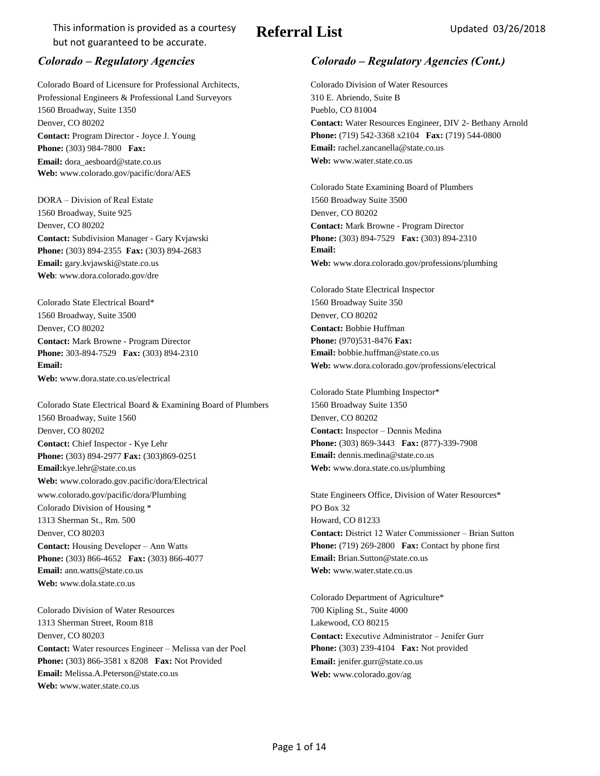# **Referral List** Updated 03/26/2018

Colorado Board of Licensure for Professional Architects, Colorado Division of Water Resources Professional Engineers & Professional Land Surveyors 310 E. Abriendo, Suite B 1560 Broadway, Suite 1350 Pueblo, CO 81004 **Contact:** Program Director - Joyce J. Young **Email:** dora\_aesboard@state.co.us **Web:** www.water.state.co.us **Web:** www.colorado.gov/pacific/dora/AES **Phone:** (303) 984-7800 **Fax:** 

DORA – Division of Real Estate 1560 Broadway Suite 3500 1560 Broadway, Suite 925 Denver, CO 80202 Denver, CO 80202 **Contact:** Mark Browne - Program Director **Contact:** Subdivision Manager - Gary Kvjawski **Email:** gary.kvjawski@state.co.us **Web:** www.dora.colorado.gov/professions/plumbing **Web**: www.dora.colorado.gov/dre **Phone:** (303) 894-2355 **Fax:** (303) 894-2683

Colorado State Electrical Board\* 1560 Broadway Suite 350 1560 Broadway, Suite 3500 Denver, CO 80202 Denver, CO 80202 **Contact:** Bobbie Huffman **Contact:** Mark Browne - Program Director **Web:** www.dora.state.co.us/electrical **Phone:** 303-894-7529 **Fax:** (303) 894-2310

Colorado State Electrical Board & Examining Board of Plumbers 1560 Broadway Suite 1350 1560 Broadway, Suite 1560 Denver, CO 80202 Denver, CO 80202 **Contact:** Inspector – Dennis Medina **Contact:** Chief Inspector - Kye Lehr **Email:**kye.lehr@state.co.us **Web:** www.dora.state.co.us/plumbing **Web:** www.colorado.gov.pacific/dora/Electrical [www.colorado.gov/pacific/dora/Plumbing](http://www.colorado.gov/pacific/dora/Plumbing) State Engineers Office, Division of Water Resources\* Colorado Division of Housing \* PO Box 32 1313 Sherman St., Rm. 500 Howard, CO 81233 Denver, CO 80203 **Contact:** District 12 Water Commissioner – Brian Sutton **Contact:** Housing Developer – Ann Watts **Email:** ann.watts@state.co.us **Web: Web:** www.water.state.co.us **Web: Web: Web: Web: Web: Web: Web: Web: Web: Web: Web: Web: Web: Web: Web: Web: Web: Web: Web: Web: Web: Web: Web:** www.dola.state.co.us **Phone:** (303) 894-2977 **Fax:** (303)869-0251 **Phone:** (303) 866-4652 **Fax:** (303) 866-4077

Colorado Division of Water Resources 700 Kipling St., Suite 4000 1313 Sherman Street, Room 818 Lakewood, CO 80215 Denver, CO 80203 **Contact:** Executive Administrator – Jenifer Gurr **Contact:** Water resources Engineer – Melissa van der Poel **Email:** Melissa.A.Peterson@state.co.us **[Web:](http://www.colorado.gov/ag)** [www.colorado.gov/ag](http://www.colorado.gov/ag) **Web:** www.water.state.co.us **Phone:** (303) 866-3581 x 8208 **Fax:** Not Provided

### *Colorado – Regulatory Agencies Colorado – Regulatory Agencies (Cont.)*

Denver, CO 80202 **Contact:** Water Resources Engineer, DIV 2- Bethany Arnold **Email:** rachel.zancanella@state.co.us **Phone:** (719) 542-3368 x2104 **Fax:** (719) 544-0800

> Colorado State Examining Board of Plumbers **Email: Phone:** (303) 894-7529 **Fax:** (303) 894-2310

Colorado State Electrical Inspector **Email:** bobbie.huffman@state.co.us **Email:** Web: www.dora.colorado.gov/professions/electrical **Phone:** (970)531-8476 **Fax:** 

> Colorado State Plumbing Inspector\* **Email:** dennis.medina@state.co.us **Phone:** (303) 869-3443 **Fax:** (877)-339-7908

**Email:** Brian.Sutton@state.co.us **Phone:** (719) 269-2800 **Fax:** Contact by phone first

Colorado Department of Agriculture\* **[Email:](mailto:jenifer.gurr@state.co.us)** [jenifer.gurr@state.co.us](mailto:jenifer.gurr@state.co.us) **Phone:** (303) 239-4104 **Fax:** Not provided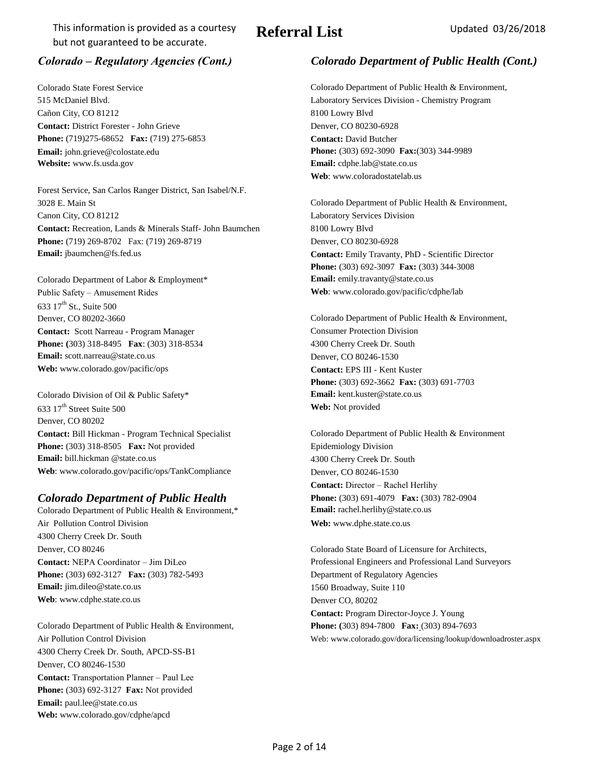# **Referral List** Updated 03/26/2018

Cañon City, CO 81212 8100 Lowry Blvd **Contact:** District Forester - John Grieve Denver, CO 80230-6928 **[Email:](mailto:jgrieve@colostate.edu)** [john.grieve@colostate.edu](mailto:jgrieve@colostate.edu) **Website:** [www.fs.usda.gov](http://www.csfs.colorastate.edu/pages/canyoncitydist.html) **Email:** cdphe.lab@state.co.us **Phone:** (719)275-68652 **Fax:** (719) 275-6853

Forest Service, San Carlos Ranger District, San Isabel/N.F. 3028 E. Main St Colorado Department of Public Health & Environment, Canon City, CO 81212 Laboratory Services Division **Contact:** Recreation, Lands & Minerals Staff- John Baumchen 8100 Lowry Blvd **Phone:** (719) 269-8702 Fax: (719) 269-8719 Denver, CO 80230-6928 **Email:** jbaumchen@fs.fed.us **Contact:** Emily Travanty, PhD - Scientific Director

Colorado Department of Labor & Employment\* **Email:** emily.travanty@state.co.us Public Safety – Amusement Rides **Web**: www.colorado.gov/pacific/cdphe/lab 633 17<sup>th</sup> St., Suite 500 **Contact: Scott Narreau - Program Manager Consumer Protection Division Phone:** (303) 318-8495 **Fax**: (303) 318-8534 4300 Cherry Creek Dr. South **Email:** scott.narreau@state.co.us Denver, CO 80246-1530 **Web:** www.colorado.gov/pacific/ops **Contact:** EPS III - Kent Kuster

Colorado Division of Oil & Public Safety\* **Email:** kent.kuster@state.co.us 633 17th Street Suite 500 **Web:** Not provided Denver, CO 80202 **Contact:** Bill Hickman - Program Technical Specialist Colorado Department of Public Health & Environment **Phone:** (303) 318-8505 **Fax:** Not provided Epidemiology Division **Email:** bill.hickman @state.co.us 4300 Cherry Creek Dr. South Web: www.colorado.gov/pacific/ops/TankCompliance Denver, CO 80246-1530

## *Colorado Department of Public Health* **Phone:** (303) 691-4079 **Fax:** (303) 782-0904

Colorado Department of Public Health & Environment,\* **Email:** rachel.herlihy@state.co.us Air Pollution Control Division **[Web:](http://www.dphe.state.co.us/)** [www.dphe.state.co.us](http://www.dphe.state.co.us/) 4300 Cherry Creek Dr. South Denver, CO 80246 Colorado State Board of Licensure for Architects, **Phone:** (303) 692-3127 **Fax:** (303) 782-5493 Department of Regulatory Agencies **Email:** jim.dileo@state.co.us 1560 Broadway, Suite 110 **Web**: www.cdphe.state.co.us Denver CO, 80202

Colorado Department of Public Health & Environment, **Phone: (**303) 894-7800 **Fax:** (303) 894-7693 4300 Cherry Creek Dr. South, APCD-SS-B1 Denver, CO 80246-1530 **Contact:** Transportation Planner – Paul Lee **Phone:** (303) 692-3127 **Fax:** Not provided **Email:** paul.lee@state.co.us **Web:** www.colorado.gov/cdphe/apcd

## *Colorado – Regulatory Agencies (Cont.) Colorado Department of Public Health (Cont.)*

Colorado State Forest Service Colorado Department of Public Health & Environment, 515 McDaniel Blvd. Laboratory Services Division - Chemistry Program **Contact:** David Butcher **Web**: www.coloradostatelab.us **Phone:** (303) 692-3090 **Fax:**(303) 344-9989

**Phone:** (303) 692-3097 **Fax:** (303) 344-3008

Denver, CO 80202-3660 Colorado Department of Public Health & Environment, **Phone:** (303) 692-3662 **Fax:** (303) 691-7703

**Contact:** Director – Rachel Herlihy

**Contact: NEPA Coordinator – Jim DiLeo Professional Engineers and Professional Land Surveyors Contact:** Program Director-Joyce J. Young Air Pollution Control Division **New Air Pollution Control Division** Web: www.colorado.gov/dora/licensing/lookup/downloadroster.aspx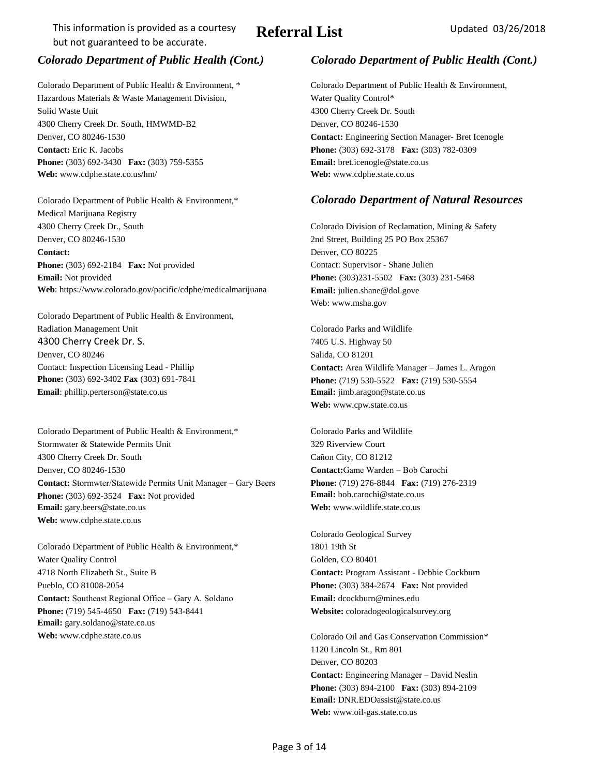# **Referral List** Updated 03/26/2018

Colorado Department of Public Health & Environment, \* Colorado Department of Public Health & Environment, Hazardous Materials & Waste Management Division, Water Quality Control\* Solid Waste Unit **4300 Cherry Creek Dr. South** 4300 Cherry Creek Dr. South, HMWMD-B2 Denver, CO 80246-1530 Denver, CO 80246-1530 **Contact:** Engineering Section Manager- Bret Icenogle **Contact:** Eric K. Jacobs **Phone:** (303) 692-3178 **Fax:** (303) 782-0309

**Phone:** (303) 692-3430 **Fax:** (303) 759-5355 **Email:** bret.icenogle@state.co.us **Web:** www.cdphe.state.co.us/hm/ **Web:** www.cdphe.state.co.us

Medical Marijuana Registry 4300 Cherry Creek Dr., South Colorado Division of Reclamation, Mining & Safety Denver, CO 80246-1530 2nd Street, Building 25 PO Box 25367 **Contact:** Denver, CO 80225 **Phone:** (303) 692-2184 **Fax:** Not provided Contact: Supervisor - Shane Julien **Email:** Not provided **Phone:** (303)231-5502 **Fax:** (303) 231-5468 **Web**: https://www.colorado.gov/pacific/cdphe/medicalmarijuana **Email:** julien.shane@dol.gove

Colorado Department of Public Health & Environment, Radiation Management Unit **Colorado Parks and Wildlife** 4300 Cherry Creek Dr. S. 7405 U.S. Highway 50 Denver, CO 80246 Salida, CO 81201 Contact: Inspection Licensing Lead - Phillip **Contact:** Area Wildlife Manager – James L. Aragon **Phone:** (303) 692-3402 **Fax** (303) 691-7841 **Phone:** (719) 530-5522 **Fax:** (719) 530-5554 **Email**: phillip.perterson@state.co.us **Email:** jimb.aragon@state.co.us

Colorado Department of Public Health & Environment,\* Colorado Parks and Wildlife Stormwater & Statewide Permits Unit 329 Riverview Court 4300 Cherry Creek Dr. South Cañon City, CO 81212 Denver, CO 80246-1530 **Contact:**Game Warden – Bob Carochi **Contact:** Stormwter/Statewide Permits Unit Manager – Gary Beers **Phone:** (719) 276-8844 **Fax:** (719) 276-2319 Phone: (303) 692-3524 **Fax:** Not provided **Email:** bob.carochi@state.co.us **Email:** gary.beers@state.co.us **Web:** www.wildlife.state.co.us **Web:** www.cdphe.state.co.us

Colorado Department of Public Health & Environment,\* 1801 19th St Water Quality Control Golden, CO 80401 4718 North Elizabeth St., Suite B **Contact:** Program Assistant - Debbie Cockburn Pueblo, CO 81008-2054 **Phone:** (303) 384-2674 **Fax:** Not provided **Contact:** Southeast Regional Office – Gary A. Soldano **Email:** dcockburn@mines.edu **Phone:** (719) 545-4650 **Fax:** (719) 543-8441 **Website:** coloradogeologicalsurvey.org **Email:** gary.soldano@state.co.us **Web:** www.cdphe.state.co.us Colorado Oil and Gas Conservation Commission\*

### *Colorado Department of Public Health (Cont.) Colorado Department of Public Health (Cont.)*

### Colorado Department of Public Health & Environment,\* *Colorado Department of Natural Resources*

Web: www.msha.gov

**Web:** www.cpw.state.co.us

Colorado Geological Survey

1120 Lincoln St., Rm 801 Denver, CO 80203 **Contact:** Engineering Manager – David Neslin **Phone:** (303) 894-2100 **Fax:** (303) 894-2109 **Email:** DNR.EDOassist@state.co.us **Web:** www.oil-gas.state.co.us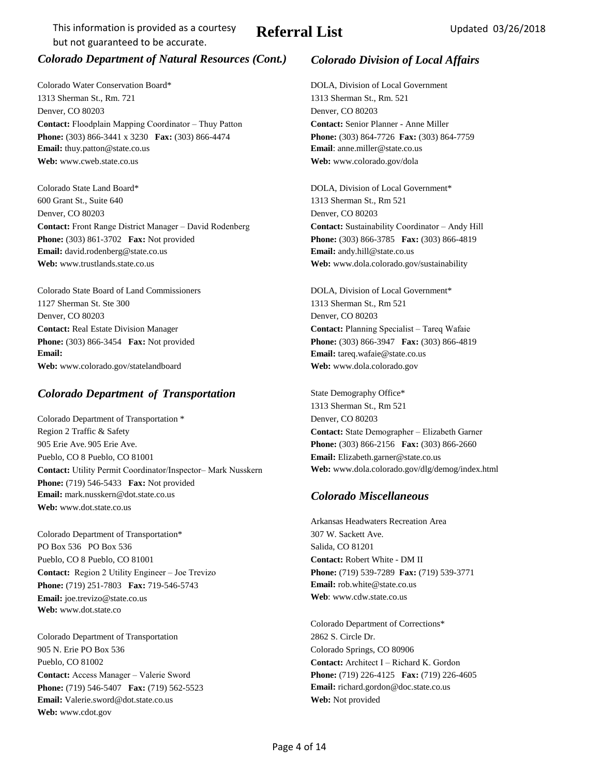# *Colorado Department of Natural Resources (Cont.) Colorado Division of Local Affairs*

Colorado Water Conservation Board\* DOLA, Division of Local Government 1313 Sherman St., Rm. 721 1313 Sherman St., Rm. 521 Denver, CO 80203 Denver, CO 80203 **Contact:** Floodplain Mapping Coordinator – Thuy Patton **Contact:** Senior Planner - Anne Miller **Phone:** (303) 866-3441 x 3230 **Fax:** (303) 866-4474 **Phone:** (303) 864-7726 **Fax:** (303) 864-7759 **Email:** thuy.patton@state.co.us **Email**: anne.miller@state.co.us **Web:** www.cweb.state.co.us **Web: Web:** www.colorado.gov/dola

Colorado State Land Board\* DOLA, Division of Local Government\* 600 Grant St., Suite 640 1313 Sherman St., Rm 521 Denver, CO 80203 Denver, CO 80203 **Contact:** Front Range District Manager – David Rodenberg **Contact:** Sustainability Coordinator – Andy Hill **Phone:** (303) 861-3702 **Fax:** Not provided **Phone:** (303) 866-3785 **Fax:** (303) 866-4819 **Email:** david.rodenberg@state.co.us **Email:** andy.hill@state.co.us **Email:** andy.hill@state.co.us **Web:** www.trustlands.state.co.us **Web:** www.dola.colorado.gov/sustainability

Colorado State Board of Land Commissioners DOLA, Division of Local Government\* 1127 Sherman St. Ste 300 1313 Sherman St., Rm 521 Denver, CO 80203 Denver, CO 80203 **Contact:** Real Estate Division Manager **Contact: Planning Specialist – Tareq Wafaie Email:** Email: **Email: Email:** tareq.wafaie@state.co.us **Web:** www.colorado.gov/statelandboard **Web:** www.dola.colorado.gov

# **Colorado Department of Transportation** State Demography Office\*

Colorado Department of Transportation \* Denver, CO 80203 Region 2 Traffic & Safety **Contact:** State Demographer – Elizabeth Garner 905 Erie Ave. 905 Erie Ave. **Phone:** (303) 866-2156 **Fax:** (303) 866-2660 Pueblo, CO 8 Pueblo, CO 81001 **Email:** Elizabeth.garner@state.co.us **Contact:** Utility Permit Coordinator/Inspector– Mark Nusskern **Web:** www.dola.colorado.gov/dlg/demog/index.html **Phone:** (719) 546-5433 **Fax:** Not provided **Email:** mark.nusskern@dot.state.co.us *Colorado Miscellaneous* **Web:** www.dot.state.co.us

Colorado Department of Transportation\* 307 W. Sackett Ave. PO Box 536 PO Box 536 Salida, CO 81201 Pueblo, CO 81001 Pueblo, CO 81001 **Contact:** Robert White - DM II **Contact:** Region 2 Utility Engineer – Joe Trevizo **Phone:** (719) 539-7289 **Fax:** (719) 539-3771 **Phone:** (719) 251-7803 **Fax:** 719-546-5743 **Email:** rob.white@state.co.us **Email:** joe.trevizo@state.co.us **Web**: www.cdw.state.co.us **Web:** www.dot.state.co

Colorado Department of Transportation 2862 S. Circle Dr. 905 N. Erie PO Box 536 Colorado Springs, CO 80906 Pueblo, CO 81002 **Contact:** Architect I – Richard K. Gordon **Contact:** Access Manager – Valerie Sword **Phone:** (719) 226-4125 **Fax:** (719) 226-4605 **Phone:** (719) 546-5407 **Fax:** (719) 562-5523 **Email:** richard.gordon@doc.state.co.us **Email:** Valerie.sword@dot.state.co.us **Web:** Not provided **Web:** www.cdot.gov

**Phone:** (303) 866-3454 **Fax:** Not provided **Phone:** (303) 866-3947 **Fax:** (303) 866-4819

1313 Sherman St., Rm 521

Arkansas Headwaters Recreation Area

Colorado Department of Corrections\*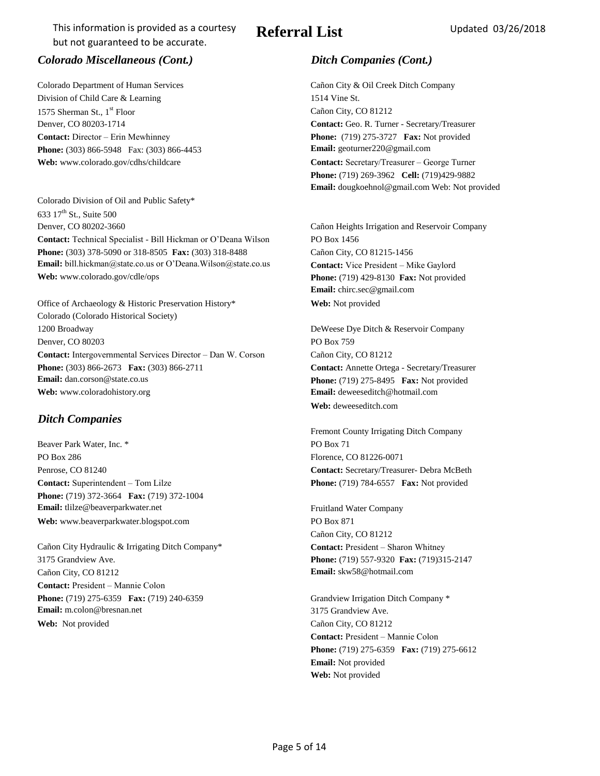# Referral List Updated 03/26/2018

## *Colorado Miscellaneous (Cont.) Ditch Companies (Cont.)*

Colorado Department of Human Services Cañon City & Oil Creek Ditch Company Division of Child Care & Learning 1514 Vine St. 1575 Sherman St., 1<sup>st</sup> Floor Cañon City, CO 81212 **Contact:** Director – Erin Mewhinney **Phone:** (719) 275-3727 **Fax:** Not provided **Phone:** (303) 866-5948 Fax: (303) 866-4453 **Email:** geoturner220@gmail.com

Colorado Division of Oil and Public Safety\* 633 17<sup>th</sup> St., Suite 500 Denver, CO 80202-3660 Cañon Heights Irrigation and Reservoir Company **Contact:** Technical Specialist - Bill Hickman or O'Deana Wilson PO Box 1456 **Phone:** (303) 378-5090 or 318-8505 **Fax:** (303) 318-8488 Cañon City, CO 81215-1456 **Email:** bill.hickman@state.co.us or O'Deana.Wilson@state.co.us **Contact:** Vice President – Mike Gaylord **Web:** www.colorado.gov/cdle/ops **Phone:** (719) 429-8130 **Fax:** Not provided

Office of Archaeology & Historic Preservation History\* **Web:** Not provided Colorado (Colorado Historical Society) 1200 Broadway **DeWeese Dye Ditch & Reservoir Company** DeWeese Dye Ditch & Reservoir Company Denver, CO 80203 PO Box 759 **Contact:** Intergovernmental Services Director – Dan W. Corson Cañon City, CO 81212 **Phone:** (303) 866-2673 **Fax:** (303) 866-2711 **Contact: Annette Ortega - Secretary/Treasurer Email:** dan.corson@state.co.us **Phone:** (719) 275-8495 **Fax:** Not provided **Web:** www.coloradohistory.org **Email:** deweeseditch@hotmail.com

### *Ditch Companies*

Beaver Park Water, Inc. \* PO Box 71 PO Box 286 Florence, CO 81226-0071 Penrose, CO 81240 **Contact: Secretary/Treasurer- Debra McBeth Contact:** Superintendent – Tom Lilze **Phone:** (719) 784-6557 **Fax:** Not provided **Phone:** (719) 372-3664 **Fax:** (719) 372-1004 **Email:** tlilze@beaverparkwater.net Fruitland Water Company Web: www.beaverparkwater.blogspot.com PO Box 871

Cañon City Hydraulic & Irrigating Ditch Company\* **Contact:** President – Sharon Whitney 3175 Grandview Ave. **Phone:** (719) 557-9320 **Fax:** (719)315-2147 Cañon City, CO 81212 **Email:** skw58@hotmail.com **Contact:** President – Mannie Colon **Phone:** (719) 275-6359 **Fax:** (719) 240-6359 Grandview Irrigation Ditch Company \* **Email:** m.colon@bresnan.net 3175 Grandview Ave. **Web:** Not provided Cañon City, CO 81212

Denver, CO 80203-1714 **Contact:** Geo. R. Turner - Secretary/Treasurer Web: www.colorado.gov/cdhs/childcare **Contact: Secretary/Treasurer – George Turner Phone:** (719) 269-3962 **Cell:** (719)429-9882 **Email:** dougkoehnol@gmail.com Web: Not provided

**Email:** chirc.sec@gmail.com

**Web:** deweeseditch.com

Fremont County Irrigating Ditch Company

Cañon City, CO 81212

**Contact:** President – Mannie Colon **Phone:** (719) 275-6359 **Fax:** (719) 275-6612 **Email:** Not provided **Web:** Not provided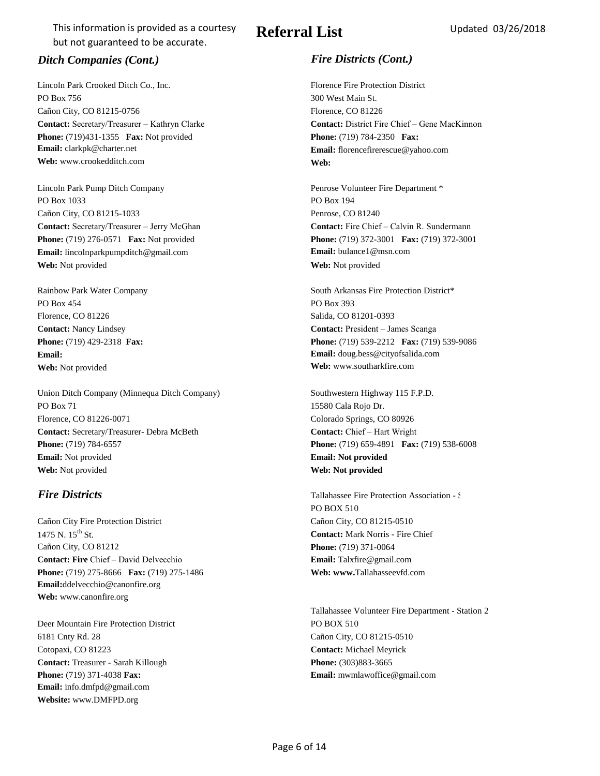Lincoln Park Crooked Ditch Co., Inc. Florence Fire Protection District PO Box 756 300 West Main St. Cañon City, CO 81215-0756 Florence, CO 81226 **Phone:** (719)431-1355 **Fax:** Not provided **Phone:** (719) 784-2350 **Fax: Email:** clarkpk@charter.net **Email:** florencefirerescue@yahoo.com Web: www.crookedditch.com **Web: Web: Web: Web: Web: Web:**  $\blacksquare$ 

Lincoln Park Pump Ditch Company Penrose Volunteer Fire Department \* PO Box 1033 PO Box 194 Cañon City, CO 81215-1033 Penrose, CO 81240 **Contact:** Secretary/Treasurer – Jerry McGhan **Contact:** Fire Chief – Calvin R. Sundermann **Email:** lincolnparkpumpditch@gmail.com **Email:** bulance1@msn.com **Web:** Not provided **Web:** Not provided

PO Box 454 PO Box 393 Florence, CO 81226 Salida, CO 81201-0393 **Web:** Not provided **Web:** www.southarkfire.com

Union Ditch Company (Minnequa Ditch Company) Southwestern Highway 115 F.P.D. PO Box 71 15580 Cala Rojo Dr. 15580 Cala Rojo Dr. Florence, CO 81226-0071 Colorado Springs, CO 80926 **Contact: Secretary/Treasurer- Debra McBeth <b>Contact: Chief – Hart Wright** Contact: Chief – Hart Wright **Phone:** (719) 784-6557 **Phone:** (719) 659-4891 **Fax:** (719) 538-6008 **Email:** Not provided **Email: Not provided Web:** Not provided **Web: Not provided**

Cañon City Fire Protection District Cañon City, CO 81215-0510 1475 N. 15th St. **Contact:** Mark Norris - Fire Chief Cañon City, CO 81212 **Phone:** (719) 371-0064 **Contact: Fire** Chief – David Delvecchio **Email:** Talxfire@gmail.com **Phone:** (719) 275-8666 **Fax:** (719) 275-1486 **Web: www.Tallahasseevfd.com Email:**ddelvecchio@canonfire.org **Web:** www.canonfire.org

Deer Mountain Fire Protection District PO BOX 510 6181 Cnty Rd. 28 Cañon City, CO 81215-0510 Cotopaxi, CO 81223 **Contact:** Michael Meyrick **Contact:** Treasurer - Sarah Killough **Phone:** (303)883-3665 **Phone:** (719) 371-4038 **Fax: Email:** mwmlawoffice@gmail.com **Email:** info.dmfpd@gmail.com **Website:** www.DMFPD.org

# Referral List Updated 03/26/2018

## *Ditch Companies (Cont.) Fire Districts (Cont.)*

**Contact:** Secretary/Treasurer – Kathryn Clarke **Contact:** District Fire Chief – Gene MacKinnon

**Phone:** (719) 276-0571 **Fax:** Not provided **Phone:** (719) 372-3001 **Fax:** (719) 372-3001

Rainbow Park Water Company South Arkansas Fire Protection District\* **Contact:** Nancy Lindsey **Contact:** President – James Scanga **Phone:** (719) 429-2318 **Fax: Phone:** (719) 539-2212 **Fax:** (719) 539-9086 **Email: Email:** doug.bess@cityofsalida.com

**Fire Districts** Tallahassee Fire Protection Association - Station 1 and 1 and 1 and 1 and 1 and 1 and 1 and 1 and 1 and 1 and 1 and 1 and 1 and 1 and 1 and 1 and 1 and 1 and 1 and 1 and 1 and 1 and 1 and 1 and 1 and 1 and PO BOX 510

Tallahassee Volunteer Fire Department - Station 2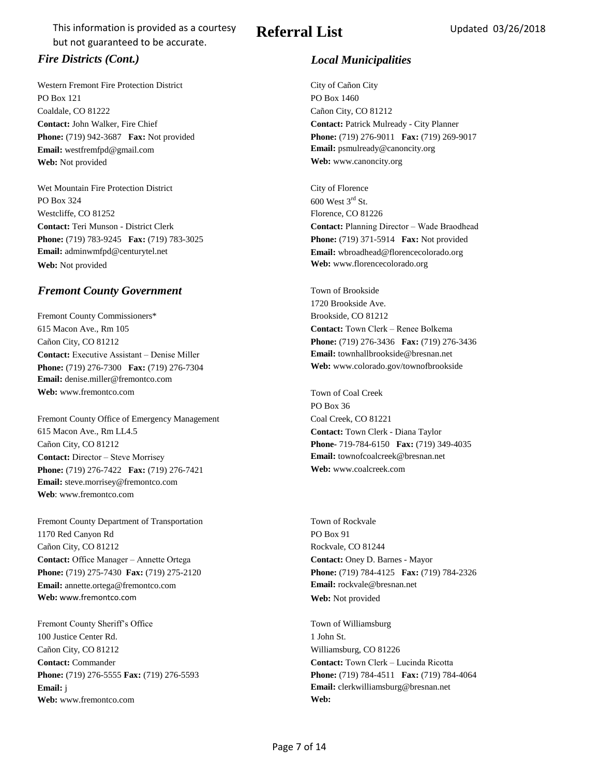Western Fremont Fire Protection District City of Cañon City PO Box 121 PO Box 1460 Coaldale, CO 81222 Cañon City, CO 81212 **Contact:** John Walker, Fire Chief **Contact:** Patrick Mulready - City Planner **Email:** westfremfpd@gmail.com **Email: Email: psmulready@canoncity.org Web:** Not provided **Web:** www.canoncity.org

Wet Mountain Fire Protection District City of Florence PO Box 324 600 West  $3^{\text{rd}}$  St. Westcliffe, CO 81252 Florence, CO 81226 **Phone:** (719) 783-9245 **Fax:** (719) 783-3025 **Phone:** (719) 371-5914 **Fax:** Not provided **Email:** adminwmfpd@centurytel.net **Email: Email:** wbroadhead@florencecolorado.org **Web:** Not provided **Web:** www.florencecolorado.org

# **Fremont County Government** Town of Brookside

Fremont County Commissioners\* Brookside, CO 81212 615 Macon Ave., Rm 105 **Contact:** Town Clerk – Renee Bolkema Cañon City, CO 81212 **Phone:** (719) 276-3436 **Fax:** (719) 276-3436 **Contact:** Executive Assistant – Denise Miller **Email:** townhallbrookside@bresnan.net **Phone:** (719) 276-7300 **Fax:** (719) 276-7304 **Web:** www.colorado.gov/townofbrookside **Email:** denise.miller@fremontco.com **Web:** www.fremontco.com Town of Coal Creek

Fremont County Office of Emergency Management Coal Creek, CO 81221 615 Macon Ave., Rm LL4.5 **Contact:** Town Clerk - Diana Taylor Cañon City, CO 81212 **Phone-** 719-784-6150 **Fax:** (719) 349-4035 **Contact:** Director – Steve Morrisey **Email:** townofcoalcreek@bresnan.net **Phone:** (719) 276-7422 **Fax:** (719) 276-7421 **Web:** www.coalcreek.com **Email:** steve.morrisey@fremontco.com **Web**: www.fremontco.com

Fremont County Department of Transportation Town Town of Rockvale 1170 Red Canyon Rd PO Box 91 Cañon City, CO 81212 Rockvale, CO 81244 **Contact:** Office Manager – Annette Ortega **Contact:** Oney D. Barnes - Mayor **Phone:** (719) 275-7430 **Fax:** (719) 275-2120 **Phone:** (719) 784-4125 **Fax:** (719) 784-2326 **Email:** annette.ortega@fremontco.com **Email:** rockvale@bresnan.net Web: www.fremontco.com **Web:** Web: Not provided

Fremont County Sheriff's Office Town of Williamsburg 100 Justice Center Rd. 200 1 John St. 200 1 John St. Cañon City, CO 81212 Williamsburg, CO 81226 **Contact: Commander Contact: Town Clerk – Lucinda Ricotta Email: j Email: Email: clerkwilliamsburg@bresnan.net Web:** www.fremontco.com **Web:** 

# Referral List Updated 03/26/2018

# *Fire Districts (Cont.) Local Municipalities*

**Phone:** (719) 942-3687 **Fax:** Not provided **Phone:** (719) 276-9011 **Fax:** (719) 269-9017

**Contact:** Teri Munson - District Clerk **Contact:** Planning Director – Wade Braodhead

1720 Brookside Ave.

PO Box 36

**Phone:** (719) 276-5555 **Fax:** (719) 276-5593 **Phone:** (719) 784-4511 **Fax:** (719) 784-4064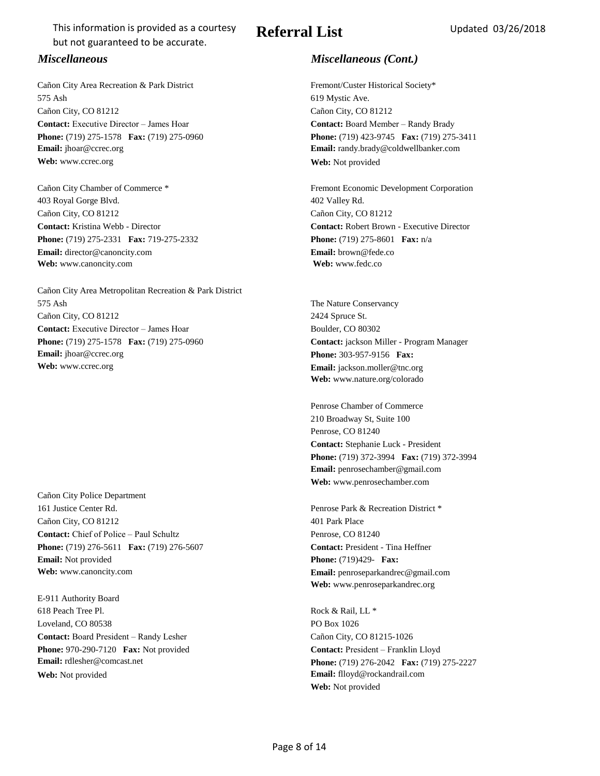Cañon City Area Recreation & Park District Fremont/Custer Historical Society\* 575 Ash 619 Mystic Ave. Cañon City, CO 81212 Cañon City, CO 81212 **Contact:** Executive Director – James Hoar **Contact:** Board Member – Randy Brady **Phone:** (719) 275-1578 **Fax:** (719) 275-0960 **Phone:** (719) 423-9745 **Fax:** (719) 275-3411 **Email:** jhoar@ccrec.org **Email:** randy.brady@coldwellbanker.com **Web:** www.ccrec.org **Web:** Not provided

Cañon City Chamber of Commerce \* Fremont Economic Development Corporation 403 Royal Gorge Blvd. 402 Valley Rd. Cañon City, CO 81212 Cañon City, CO 81212 **Contact:** Kristina Webb - Director **Contact:** Robert Brown - Executive Director **Phone:** (719) 275-2331 **Fax:** 719-275-2332 **Phone:** (719) 275-8601 **Fax:** n/a **Email:** director@canoncity.com **Email:** brown@fede.co **Web:** www.canoncity.com **Web:** www.fedc.co

Cañon City Area Metropolitan Recreation & Park District 575 Ash The Nature Conservancy Cañon City, CO 81212 2424 Spruce St. **Contact:** Executive Director – James Hoar Boulder, CO 80302 **Phone:** (719) 275-1578 **Fax:** (719) 275-0960 **Contact:** jackson Miller - Program Manager **Email:** jhoar@ccrec.org **Phone:** 303-957-9156 **Fax: Web:** www.ccrec.org **Email: iackson.moller@tnc.org Email: Email: iackson.moller@tnc.org** 

Cañon City Police Department 161 Justice Center Rd. Penrose Park & Recreation District \* Cañon City, CO 81212 401 Park Place **Contact:** Chief of Police – Paul Schultz Penrose, CO 81240 **Phone:** (719) 276-5611 **Fax:** (719) 276-5607 **Contact:** President - Tina Heffner **Email:** Not provided **Phone:** (719)429- **Fax:** 

E-911 Authority Board 618 Peach Tree Pl. **Rock & Rail, LL \*** Loveland, CO 80538 PO Box 1026 **Contact:** Board President – Randy Lesher Cañon City, CO 81215-1026 **Phone:** 970-290-7120 **Fax:** Not provided **Contact: President – Franklin Lloyd Web:** Not provided **Email:** flloyd@rockandrail.com

# Referral List Updated 03/26/2018

## *Miscellaneous Miscellaneous (Cont.)*

**Web:** www.nature.org/colorado

Penrose Chamber of Commerce 210 Broadway St, Suite 100 Penrose, CO 81240 **Contact:** Stephanie Luck - President **Phone:** (719) 372-3994 **Fax:** (719) 372-3994 **Email:** penrosechamber@gmail.com **Web:** www.penrosechamber.com

**Web:** www.canoncity.com **Email:** penroseparkandrec@gmail.com **Web:** www.penroseparkandrec.org

**Email:** rdlesher@comcast.net **Phone:** (719) 276-2042 **Fax:** (719) 275-2227 **Web:** Not provided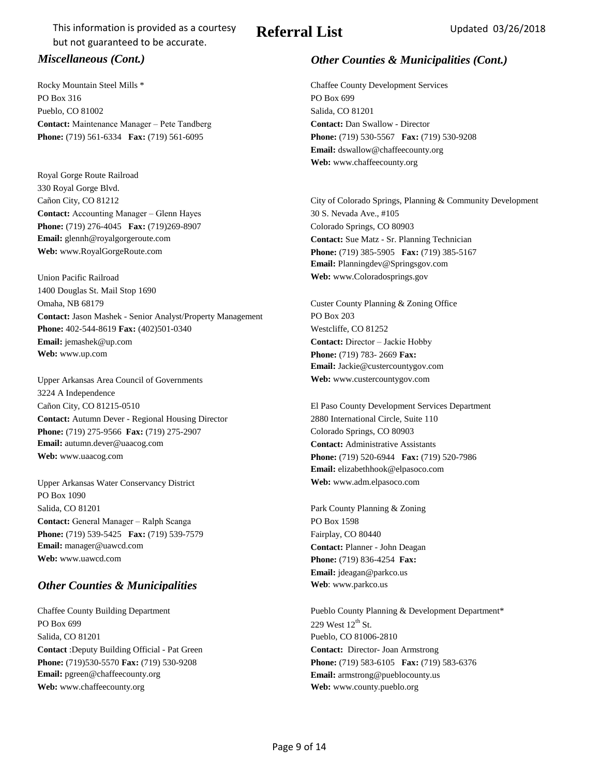Rocky Mountain Steel Mills \* Chaffee County Development Services PO Box 316 PO Box 699 Pueblo, CO 81002 Salida, CO 81201 **Contact:** Maintenance Manager – Pete Tandberg **Contact:** Dan Swallow - Director **Phone:** (719) 561-6334 **Fax:** (719) 561-6095 **Phone:** (719) 530-5567 **Fax:** (719) 530-9208

Royal Gorge Route Railroad 330 Royal Gorge Blvd. **Contact:** Accounting Manager – Glenn Hayes 30 S. Nevada Ave., #105 **Phone:** (719) 276-4045 **Fax:** (719)269-8907 Colorado Springs, CO 80903 **Email:** glennh@royalgorgeroute.com **Contact: Sue Matz - Sr. Planning Technician** 

Union Pacific Railroad **Web:** www.Coloradosprings.gov 1400 Douglas St. Mail Stop 1690 Omaha, NB 68179 Custer County Planning & Zoning Office **Contact:** Jason Mashek - Senior Analyst/Property Management PO Box 203 **Phone:** 402-544-8619 **Fax:** (402)501-0340 Westcliffe, CO 81252 **Email:** jemashek@up.com **Contact:** Director – Jackie Hobby **Web:** www.up.com **Phone:** (719) 783- 2669 **Fax:** 

Upper Arkansas Area Council of Governments **Web:** www.custercountygov.com 3224 A Independence Cañon City, CO 81215-0510 El Paso County Development Services Department **Contact:** Autumn Dever - Regional Housing Director 2880 International Circle, Suite 110 **Phone:** (719) 275-9566 **Fax:** (719) 275-2907 Colorado Springs, CO 80903 **Email:** autumn.dever@uaacog.com **Contact:** Administrative Assistants **Web:** www.uaacog.com **Phone:** (719) 520-6944 **Fax:** (719) 520-7986

Upper Arkansas Water Conservancy District **Web:** www.adm.elpasoco.com PO Box 1090 Salida, CO 81201 Park County Planning & Zoning **Contact: General Manager – Ralph Scanga PO Box 1598 Phone:** (719) 539-5425 **Fax:** (719) 539-7579 Fairplay, CO 80440 **Email:** manager@uawcd.com **Contact:** Planner - John Deagan **Web:** www.uawcd.com **Phone:**  $(719) 836-4254$  **Fax:** 

### **Other Counties & Municipalities Web**: www.parkco.us

PO Box 699 229 West 12<sup>th</sup> St. Salida, CO 81201 Pueblo, CO 81006-2810 **Contact** :Deputy Building Official - Pat Green **Contact:** Director- Joan Armstrong **Phone:** (719)530-5570 **Fax:** (719) 530-9208 **Phone:** (719) 583-6105 **Fax:** (719) 583-6376 **Email:** pgreen@chaffeecounty.org **Email:** armstrong@pueblocounty.us **Web:** www.chaffeecounty.org **Web:** www.county.pueblo.org

# **Referral List** Updated 03/26/2018

# *Miscellaneous (Cont.) Other Counties & Municipalities (Cont.)*

**Email:** dswallow@chaffeecounty.org **Web:** www.chaffeecounty.org

Cañon City, CO 81212 City of Colorado Springs, Planning & Community Development **Web:** www.RoyalGorgeRoute.com **Phone:** (719) 385-5905 **Fax:** (719) 385-5167 **Email:** Planningdev@Springsgov.com

**Email:** Jackie@custercountygov.com

**Email:** elizabethhook@elpasoco.com

**Email:** jdeagan@parkco.us

Chaffee County Building Department Pueblo County Planning & Development Department\*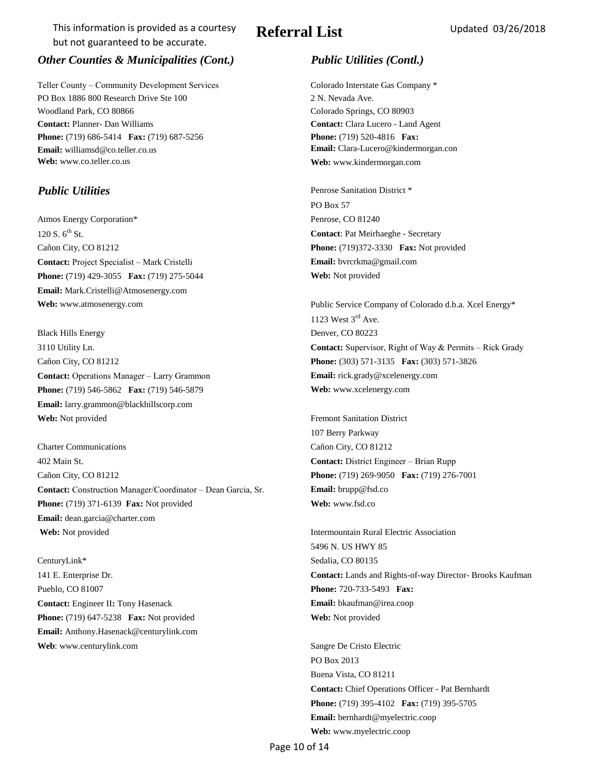# Referral List Updated 03/26/2018

## *Other Counties & Municipalities (Cont.) Public Utilities (Contl.)*

Teller County – Community Development Services Colorado Interstate Gas Company \* PO Box 1886 800 Research Drive Ste 100 2 N. Nevada Ave. Woodland Park, CO 80866 Colorado Springs, CO 80903 **Contact:** Planner- Dan Williams **Contact:** Clara Lucero - Land Agent **Phone:** (719) 686-5414 **Fax:** (719) 687-5256 **Phone:** (719) 520-4816 **Fax: Email:** williamsd@co.teller.co.us **Email:** Clara-Lucero@kindermorgan.con **Web:** www.co.teller.co.us **Web:** www.kindermorgan.com

Atmos Energy Corporation\* Penrose, CO 81240 120 S. 6th St. **Contact**: Pat Meirhaeghe - Secretary Cañon City, CO 81212 **Phone:** (719)372-3330 **Fax:** Not provided **Contact:** Project Specialist – Mark Cristelli **Email:** bvrcrkma@gmail.com **Phone:** (719) 429-3055 **Fax:** (719) 275-5044 **Web:** Not provided **Email:** Mark.Cristelli@Atmosenergy.com

Black Hills Energy Denver, CO 80223 Cañon City, CO 81212 **Phone:** (303) 571-3135 **Fax:** (303) 571-3826 **Contact:** Operations Manager – Larry Grammon **Email:** rick.grady@xcelenergy.com **Phone:** (719) 546-5862 **Fax:** (719) 546-5879 **Web:** www.xcelenergy.com **Email:** larry.grammon@blackhillscorp.com **Web:** Not provided Fremont Sanitation District

Charter Communications Cañon City, CO 81212 402 Main St. **Contact:** District Engineer – Brian Rupp Cañon City, CO 81212 **Phone:** (719) 269-9050 **Fax:** (719) 276-7001 **Contact:** Construction Manager/Coordinator – Dean Garcia, Sr. **Email:** brupp@fsd.co **Phone:** (719) 371-6139 **Fax:** Not provided **Web:** www.fsd.co **Email:** dean.garcia@charter.com **Web:** Not provided **Intermountain Rural Electric Association** 

CenturyLink\* Sedalia, CO 80135 Pueblo, CO 81007 **Phone:** 720-733-5493 **Fax: Contact:** Engineer II**:** Tony Hasenack **Email:** bkaufman@irea.coop **Phone:** (719) 647-5238 **Fax:** Not provided **Web:** Not provided **Email:** Anthony.Hasenack@centurylink.com **Web**: www.centurylink.com Sangre De Cristo Electric

**Public Utilities** Penrose Sanitation District \* PO Box 57

**Web:** www.atmosenergy.com Public Service Company of Colorado d.b.a. Xcel Energy\* 1123 West  $3<sup>rd</sup>$  Ave. 3110 Utility Ln. **Contact:** Supervisor, Right of Way & Permits – Rick Grady

107 Berry Parkway

5496 N. US HWY 85 141 E. Enterprise Dr. **Contact:** Lands and Rights-of-way Director- Brooks Kaufman

> PO Box 2013 Buena Vista, CO 81211 **Contact:** Chief Operations Officer - Pat Bernhardt **Phone:** (719) 395-4102 **Fax:** (719) 395-5705 **Email:** bernhardt@myelectric.coop **Web:** www.myelectric.coop

Page 10 of 14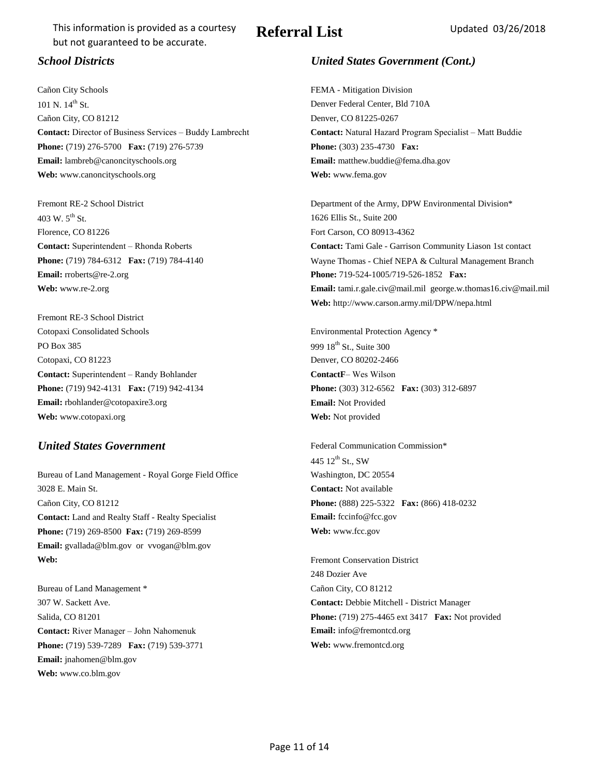Cañon City Schools FEMA - Mitigation Division 101 N. 14<sup>th</sup> St. Denver Federal Center, Bld 710A Cañon City, CO 81212 Denver, CO 81225-0267 **Contact:** Director of Business Services – Buddy Lambrecht **Contact:** Natural Hazard Program Specialist – Matt Buddie **Phone:**  $(719)$  276-5700 **Fax:**  $(719)$  276-5739 **Phone:**  $(303)$  235-4730 **Fax: Email:** lambreb@canoncityschools.org **Email:** matthew.buddie@fema.dha.gov **Web:** www.canoncityschools.org **Web:** www.fema.gov

403 W. 5th St. 1626 Ellis St., Suite 200 Florence, CO 81226 Fort Carson, CO 80913-4362 **Email:** rroberts@re-2.org **Phone:** 719-524-1005/719-526-1852 **Fax: Phone:** 719-524-1005/719-526-1852 **Fax:** 

Fremont RE-3 School District Cotopaxi Consolidated Schools Environmental Protection Agency \* PO Box 385 999 18th St., Suite 300 Cotopaxi, CO 81223 Denver, CO 80202-2466 **Contact:** Superintendent – Randy Bohlander **ContactF**– Wes Wilson **Phone:** (719) 942-4131 **Fax:** (719) 942-4134 **Phone:** (303) 312-6562 **Fax:** (303) 312-6897 **Email:** rbohlander@cotopaxire3.org **Email:** Not Provided **Web:** www.cotopaxi.org **Web:** Not provided

### **United States Government** Federal Communication Commission\*

Bureau of Land Management - Royal Gorge Field Office Washington, DC 20554 3028 E. Main St. **Contact:** Not available Cañon City, CO 81212 **Phone:** (888) 225-5322 **Fax:** (866) 418-0232 **Contact:** Land and Realty Staff - Realty Specialist **Email:** fccinfo@fcc.gov **Phone:** (719) 269-8500 **Fax:** (719) 269-8599 **Web:** www.fcc.gov **Email:** gvallada@blm.gov or vvogan@blm.gov **Web:** Fremont Conservation District

Bureau of Land Management \* Cañon City, CO 81212 307 W. Sackett Ave. **Contact:** Debbie Mitchell - District Manager **Contact:** River Manager – John Nahomenuk **Email:** info@fremontcd.org **Phone:** (719) 539-7289 **Fax:** (719) 539-3771 **Web:** www.fremontcd.org **Email:** jnahomen@blm.gov **Web:** www.co.blm.gov

### *School Districts United States Government (Cont.)*

Fremont RE-2 School District The Army, DPW Environmental Division\* **Contact:** Superintendent – Rhonda Roberts **Contact:** Tami Gale - Garrison Community Liason 1st contact **Phone:** (719) 784-6312 **Fax:** (719) 784-4140 Wayne Thomas - Chief NEPA & Cultural Management Branch **Web:** www.re-2.org **Email:** tami.r.gale.civ@mail.mil george.w.thomas16.civ@mail.mil **Web:** http://www.carson.army.mil/DPW/nepa.html

445  $12^{th}$  St., SW

248 Dozier Ave Salida, CO 81201 **Phone:** (719) 275-4465 ext 3417 **Fax:** Not provided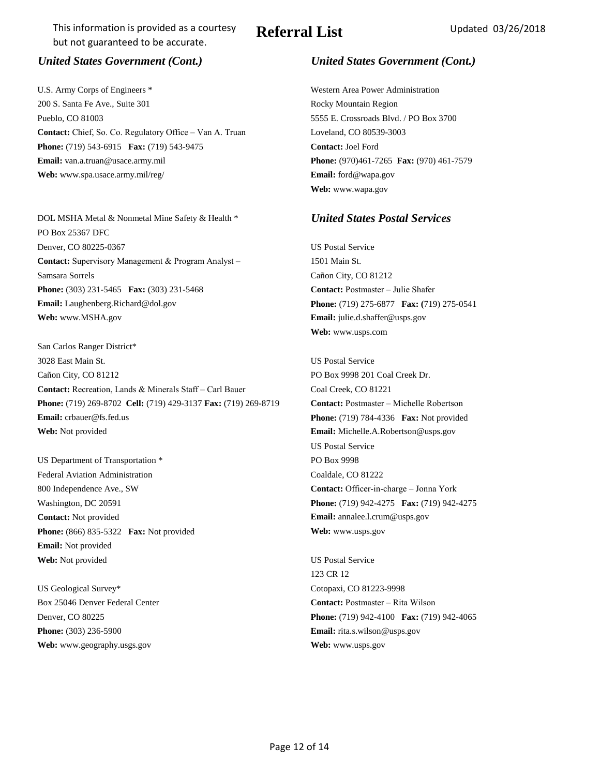U.S. Army Corps of Engineers \* Western Area Power Administration 200 S. Santa Fe Ave., Suite 301 and Socky Mountain Region Pueblo, CO 81003 5555 E. Crossroads Blvd. / PO Box 3700 **Contact:** Chief, So. Co. Regulatory Office – Van A. Truan Loveland, CO 80539-3003 **Phone:** (719) 543-6915 **Fax:** (719) 543-9475 **Contact:** Joel Ford **Email:** van.a.truan@usace.army.mil **Phone:** (970)461-7265 **Fax:** (970) 461-7579 **Web:** www.spa.usace.army.mil/reg/ **Email:** ford@wapa.gov

DOL MSHA Metal & Nonmetal Mine Safety & Health \* *United States Postal Services* PO Box 25367 DFC Denver, CO 80225-0367 US Postal Service Contact: Supervisory Management & Program Analyst - 1501 Main St. Samsara Sorrels Cañon City, CO 81212 **Phone:** (303) 231-5465 **Fax:** (303) 231-5468 **Contact:** Postmaster – Julie Shafer **Email:** Laughenberg.Richard@dol.gov **Phone:** (719) 275-6877 **Fax: (**719) 275-0541 **Web:** www.MSHA.gov **Email:** julie.d.shaffer@usps.gov

San Carlos Ranger District\* 3028 East Main St. US Postal Service Cañon City, CO 81212 PO Box 9998 201 Coal Creek Dr. **Contact: Recreation, Lands & Minerals Staff – Carl Bauer Coal Creek, CO 81221 Phone:** (719) 269-8702 **Cell:** (719) 429-3137 **Fax:** (719) 269-8719 **Contact:** Postmaster – Michelle Robertson **Email:** crbauer@fs.fed.us **Phone:**  $(719)$  784-4336 **Fax:** Not provided **Web:** Not provided **Email:** Michelle.A.Robertson@usps.gov

US Department of Transportation \* PO Box 9998 Federal Aviation Administration Coaldale, CO 81222 800 Independence Ave., SW **Contact:** Officer-in-charge – Jonna York **Contact:** Not provided **Email:** annalee.l.crum@usps.gov **Phone:** (866) 835-5322 **Fax:** Not provided **Web:** www.usps.gov **Email:** Not provided Web: Not provided US Postal Service

US Geological Survey\* Cotopaxi, CO 81223-9998 **Phone:** (303) 236-5900 **Email:** rita.s.wilson@usps.gov **Web:** www.geography.usgs.gov **Web:** www.usps.gov

### *United States Government (Cont.) United States Government (Cont.)*

**Web:** www.wapa.gov

**Web:** www.usps.com

US Postal Service Washington, DC 20591 **Phone:** (719) 942-4275 **Fax:** (719) 942-4275

123 CR 12 Box 25046 Denver Federal Center **Contact:** Postmaster – Rita Wilson Denver, CO 80225 **Phone:** (719) 942-4100 **Fax:** (719) 942-4065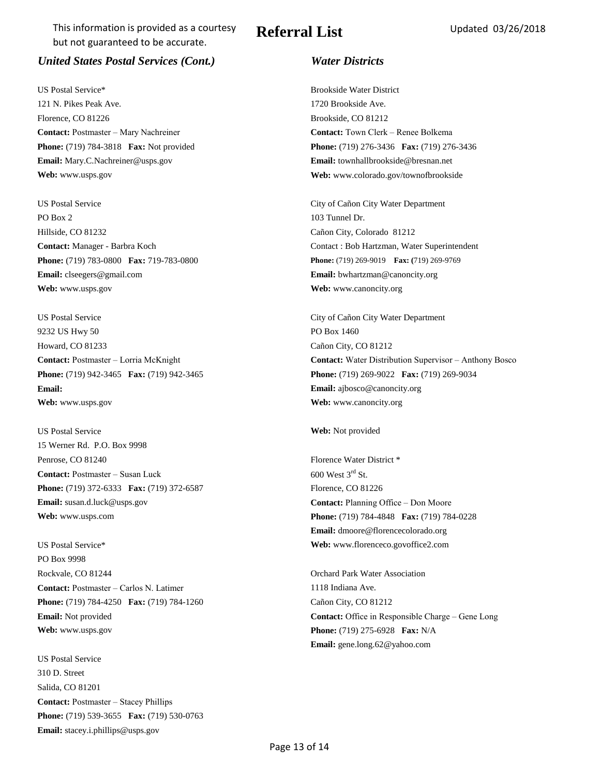## *United States Postal Services (Cont.) Water Districts*

US Postal Service\* Brookside Water District 121 N. Pikes Peak Ave. 1720 Brookside Ave. Florence, CO 81226 Brookside, CO 81212 **Contact:** Postmaster – Mary Nachreiner **Contact:** Town Clerk – Renee Bolkema **Email:** Mary.C.Nachreiner@usps.gov **Email:** townhallbrookside@bresnan.net **Web:** www.usps.gov **Web:** www.colorado.gov/townofbrookside

US Postal Service City of Cañon City Water Department PO Box 2 103 Tunnel Dr. Hillside, CO 81232 Cañon City, Colorado 81212 **Phone:** (719) 783-0800 **Fax:** 719-783-0800 **Phone:** (719) 269-9019 **Fax: (**719) 269-9769 **Email:** clseegers@gmail.com **Email:** bwhartzman@canoncity.org **Web:** www.usps.gov **Web:** www.canoncity.org

US Postal Service City of Cañon City Water Department 9232 US Hwy 50 PO Box 1460 Howard, CO 81233 Cañon City, CO 81212 **Email: Email:** ajbosco@canoncity.org **Web:** www.usps.gov **Web:** www.canoncity.org

US Postal Service **Web:** Not provided 15 Werner Rd. P.O. Box 9998 Penrose, CO 81240 Florence Water District \* **Contact:** Postmaster – Susan Luck 600 West 3rd St. **Phone:** (719) 372-6333 **Fax:** (719) 372-6587 Florence, CO 81226 **Email:** susan.d.luck@usps.gov **Contact:** Planning Office – Don Moore

US Postal Service\* **Web:** www.florenceco.govoffice2.com PO Box 9998 Rockvale, CO 81244 Orchard Park Water Association **Contact: Postmaster – Carlos N. Latimer 1118 Indiana Ave.** 1118 Indiana Ave. **Phone:** (719) 784-4250 **Fax:** (719) 784-1260 Cañon City, CO 81212 **Web:** www.usps.gov **Phone:** (719) 275-6928 **Fax:** N/A

US Postal Service 310 D. Street Salida, CO 81201 **Contact:** Postmaster – Stacey Phillips **Phone:** (719) 539-3655 **Fax:** (719) 530-0763 **Email:** stacey.i.phillips@usps.gov

**Phone:** (719) 784-3818 **Fax:** Not provided **Phone:** (719) 276-3436 **Fax:** (719) 276-3436

**Contact:** Manager - Barbra Koch Contact : Bob Hartzman, Water Superintendent

**Contact: Postmaster – Lorria McKnight <b>Contact: Vater Distribution Supervisor – Anthony Bosco Phone:** (719) 942-3465 **Fax:** (719) 942-3465 **Phone:** (719) 269-9022 **Fax:** (719) 269-9034

**Web:** www.usps.com **Phone:** (719) 784-4848 **Fax:** (719) 784-0228 **Email:** dmoore@florencecolorado.org

**Email:** Not provided **Contact:** Office in Responsible Charge – Gene Long **Email:** gene.long.62@yahoo.com